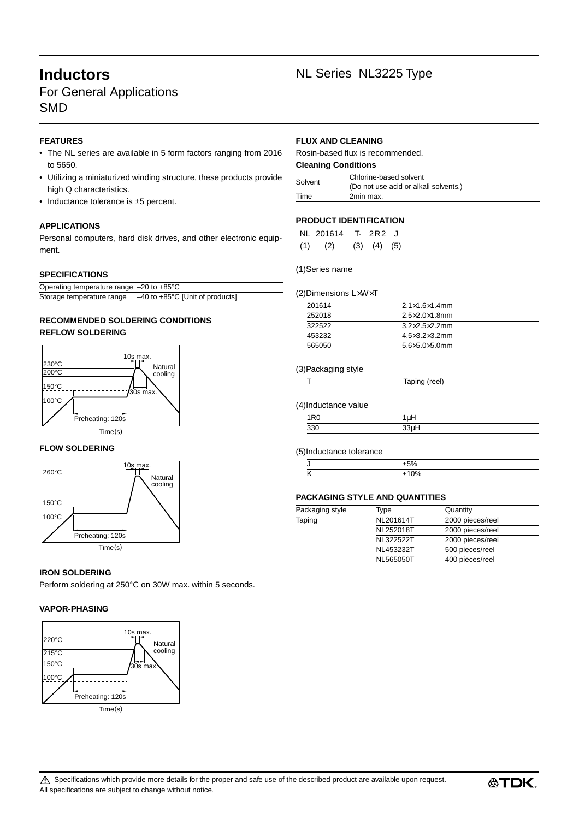# For General Applications SMD

## **FEATURES**

- The NL series are available in 5 form factors ranging from 2016 to 5650.
- Utilizing a miniaturized winding structure, these products provide high Q characteristics.
- Inductance tolerance is ±5 percent.

#### **APPLICATIONS**

Personal computers, hard disk drives, and other electronic equipment.

#### **SPECIFICATIONS**

| Operating temperature range $-20$ to $+85^{\circ}$ C |                                             |
|------------------------------------------------------|---------------------------------------------|
| Storage temperature range                            | $-40$ to $+85^{\circ}$ C [Unit of products] |

### **RECOMMENDED SOLDERING CONDITIONS REFLOW SOLDERING**



Time(s)

#### **FLOW SOLDERING**



#### **IRON SOLDERING**

Perform soldering at 250°C on 30W max. within 5 seconds.

#### **VAPOR-PHASING**



## **Inductors** NL Series NL3225 Type

#### **FLUX AND CLEANING**

#### Rosin-based flux is recommended.

| <b>Cleaning Conditions</b> |  |
|----------------------------|--|
|----------------------------|--|

| Solvent | Chlorine-based solvent<br>(Do not use acid or alkali solvents.) |
|---------|-----------------------------------------------------------------|
| Time    | 2min max.                                                       |

#### **PRODUCT IDENTIFICATION**

|     | NL 201614 | T-2R2 J           |  |
|-----|-----------|-------------------|--|
| (1) | (2)       | $(3)$ $(4)$ $(5)$ |  |

#### (1)Series name

#### (2)Dimensions L×W×T

| 201614 | $2.1 \times 1.6 \times 1.4$ mm |  |
|--------|--------------------------------|--|
| 252018 | $2.5 \times 2.0 \times 1.8$ mm |  |
| 322522 | $3.2\times2.5\times2.2$ mm     |  |
| 453232 | $4.5 \times 3.2 \times 3.2$ mm |  |
| 565050 | $5.6 \times 5.0 \times 5.0$ mm |  |

#### (3)Packaging style

| Toping (rool)<br>$.~\sim$ $\sim$ $\sim$ |
|-----------------------------------------|
|                                         |

#### (4)Inductance value

#### (5)Inductance tolerance

#### **PACKAGING STYLE AND QUANTITIES**

| Packaging style | Type      | Quantity         |  |
|-----------------|-----------|------------------|--|
| Taping          | NL201614T | 2000 pieces/reel |  |
|                 | NL252018T | 2000 pieces/reel |  |
|                 | NL322522T | 2000 pieces/reel |  |
|                 | NL453232T | 500 pieces/reel  |  |
|                 | NL565050T | 400 pieces/reel  |  |
|                 |           |                  |  |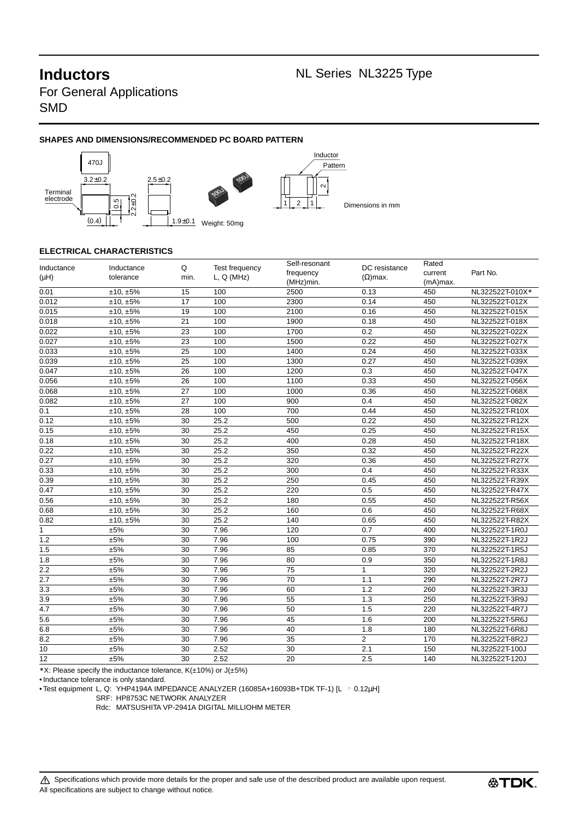For General Applications **SMD** 

### **SHAPES AND DIMENSIONS/RECOMMENDED PC BOARD PATTERN**



#### **ELECTRICAL CHARACTERISTICS**

| Inductance<br>(Hu) | Inductance<br>tolerance | Q<br>min.       | Test frequency<br>L, Q(MHz) | Self-resonant<br>frequency<br>(MHz)min. | DC resistance<br>$(\Omega)$ max. | Rated<br>current<br>$(mA)$ max. | Part No.        |
|--------------------|-------------------------|-----------------|-----------------------------|-----------------------------------------|----------------------------------|---------------------------------|-----------------|
| 0.01               | ±10, ±5%                | 15              | 100                         | 2500                                    | 0.13                             | 450                             | NL322522T-010X* |
| 0.012              | ±10, ±5%                | 17              | 100                         | 2300                                    | 0.14                             | 450                             | NL322522T-012X  |
| 0.015              | ±10, ±5%                | 19              | 100                         | 2100                                    | 0.16                             | 450                             | NL322522T-015X  |
| 0.018              | ±10, ±5%                | $\overline{21}$ | 100                         | 1900                                    | 0.18                             | 450                             | NL322522T-018X  |
| 0.022              | ±10, ±5%                | 23              | 100                         | 1700                                    | 0.2                              | 450                             | NL322522T-022X  |
| 0.027              | ±10, ±5%                | 23              | 100                         | 1500                                    | 0.22                             | 450                             | NL322522T-027X  |
| 0.033              | ±10, ±5%                | 25              | 100                         | 1400                                    | 0.24                             | 450                             | NL322522T-033X  |
| 0.039              | ±10, ±5%                | 25              | 100                         | 1300                                    | 0.27                             | 450                             | NL322522T-039X  |
| 0.047              | ±10, ±5%                | 26              | 100                         | 1200                                    | 0.3                              | 450                             | NL322522T-047X  |
| 0.056              | ±10, ±5%                | 26              | 100                         | 1100                                    | 0.33                             | 450                             | NL322522T-056X  |
| 0.068              | ±10, ±5%                | 27              | 100                         | 1000                                    | 0.36                             | 450                             | NL322522T-068X  |
| 0.082              | ±10, ±5%                | 27              | 100                         | 900                                     | 0.4                              | 450                             | NL322522T-082X  |
| 0.1                | ±10, ±5%                | 28              | 100                         | 700                                     | 0.44                             | 450                             | NL322522T-R10X  |
| 0.12               | ±10, ±5%                | 30              | 25.2                        | 500                                     | 0.22                             | 450                             | NL322522T-R12X  |
| 0.15               | ±10, ±5%                | 30              | 25.2                        | 450                                     | 0.25                             | 450                             | NL322522T-R15X  |
| 0.18               | ±10, ±5%                | 30              | 25.2                        | 400                                     | 0.28                             | 450                             | NL322522T-R18X  |
| 0.22               | ±10, ±5%                | 30              | 25.2                        | 350                                     | 0.32                             | 450                             | NL322522T-R22X  |
| 0.27               | ±10, ±5%                | 30              | 25.2                        | 320                                     | 0.36                             | 450                             | NL322522T-R27X  |
| 0.33               | ±10, ±5%                | 30              | 25.2                        | 300                                     | 0.4                              | 450                             | NL322522T-R33X  |
| 0.39               | ±10, ±5%                | 30              | 25.2                        | 250                                     | 0.45                             | 450                             | NL322522T-R39X  |
| 0.47               | ±10, ±5%                | 30              | 25.2                        | 220                                     | 0.5                              | 450                             | NL322522T-R47X  |
| 0.56               | ±10, ±5%                | 30              | 25.2                        | 180                                     | 0.55                             | 450                             | NL322522T-R56X  |
| 0.68               | ±10, ±5%                | 30              | 25.2                        | 160                                     | 0.6                              | 450                             | NL322522T-R68X  |
| 0.82               | ±10, ±5%                | 30              | 25.2                        | 140                                     | 0.65                             | 450                             | NL322522T-R82X  |
| 1                  | ±5%                     | 30              | 7.96                        | 120                                     | 0.7                              | 400                             | NL322522T-1R0J  |
| 1.2                | ±5%                     | 30              | 7.96                        | 100                                     | 0.75                             | 390                             | NL322522T-1R2J  |
| 1.5                | ±5%                     | 30              | 7.96                        | 85                                      | 0.85                             | 370                             | NL322522T-1R5J  |
| 1.8                | ±5%                     | 30              | 7.96                        | 80                                      | 0.9                              | 350                             | NL322522T-1R8J  |
| 2.2                | ±5%                     | 30              | 7.96                        | 75                                      | 1                                | 320                             | NL322522T-2R2J  |
| 2.7                | ±5%                     | 30              | 7.96                        | 70                                      | 1.1                              | 290                             | NL322522T-2R7J  |
| 3.3                | ±5%                     | 30              | 7.96                        | 60                                      | 1.2                              | 260                             | NL322522T-3R3J  |
| 3.9                | ±5%                     | $\overline{30}$ | 7.96                        | 55                                      | 1.3                              | 250                             | NL322522T-3R9J  |
| 4.7                | ±5%                     | 30              | 7.96                        | 50                                      | 1.5                              | 220                             | NL322522T-4R7J  |
| 5.6                | ±5%                     | 30              | 7.96                        | 45                                      | 1.6                              | 200                             | NL322522T-5R6J  |
| 6.8                | ±5%                     | 30              | 7.96                        | 40                                      | 1.8                              | 180                             | NL322522T-6R8J  |
| 8.2                | ±5%                     | 30              | 7.96                        | 35                                      | $\overline{2}$                   | 170                             | NL322522T-8R2J  |
| 10                 | ±5%                     | 30              | 2.52                        | 30                                      | 2.1                              | 150                             | NL322522T-100J  |
| 12                 | ±5%                     | 30              | 2.52                        | 20                                      | 2.5                              | 140                             | NL322522T-120J  |

∗ X: Please specify the inductance tolerance, K(±10%) or J(±5%)

• Inductance tolerance is only standard.

• Test equipment L, Q: YHP4194A IMPEDANCE ANALYZER (16085A+16093B+TDK TF-1) [L  $\geq 0.12\mu$ H]

SRF: HP8753C NETWORK ANALYZER

Rdc: MATSUSHITA VP-2941A DIGITAL MILLIOHM METER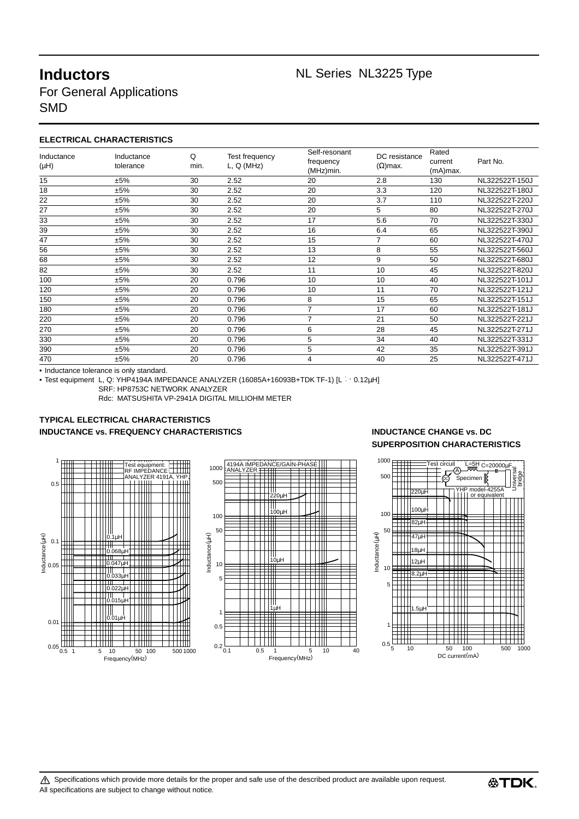# **Inductors** NL Series NL3225 Type For General Applications SMD

#### **ELECTRICAL CHARACTERISTICS**

| Inductance | Inductance | Q    | Test frequency | Self-resonant          | DC resistance   | Rated                  |                |
|------------|------------|------|----------------|------------------------|-----------------|------------------------|----------------|
| (HH)       | tolerance  | min. | L, Q(MHz)      | frequency<br>(MHz)min. | $(\Omega)$ max. | current<br>$(mA)$ max. | Part No.       |
| 15         | ±5%        | 30   | 2.52           | 20                     | 2.8             | 130                    | NL322522T-150J |
| 18         | ±5%        | 30   | 2.52           | 20                     | 3.3             | 120                    | NL322522T-180J |
| 22         | ±5%        | 30   | 2.52           | 20                     | 3.7             | 110                    | NL322522T-220J |
| 27         | ±5%        | 30   | 2.52           | 20                     | 5               | 80                     | NL322522T-270J |
| 33         | ±5%        | 30   | 2.52           | 17                     | 5.6             | 70                     | NL322522T-330J |
| 39         | ±5%        | 30   | 2.52           | 16                     | 6.4             | 65                     | NL322522T-390J |
| 47         | ±5%        | 30   | 2.52           | 15                     | $\overline{7}$  | 60                     | NL322522T-470J |
| 56         | ±5%        | 30   | 2.52           | 13                     | 8               | 55                     | NL322522T-560J |
| 68         | ±5%        | 30   | 2.52           | 12                     | 9               | 50                     | NL322522T-680J |
| 82         | ±5%        | 30   | 2.52           | 11                     | 10              | 45                     | NL322522T-820J |
| 100        | ±5%        | 20   | 0.796          | 10                     | 10              | 40                     | NL322522T-101J |
| 120        | ±5%        | 20   | 0.796          | 10                     | 11              | 70                     | NL322522T-121J |
| 150        | ±5%        | 20   | 0.796          | 8                      | 15              | 65                     | NL322522T-151J |
| 180        | ±5%        | 20   | 0.796          | $\overline{7}$         | 17              | 60                     | NL322522T-181J |
| 220        | ±5%        | 20   | 0.796          | 7                      | 21              | 50                     | NL322522T-221J |
| 270        | ±5%        | 20   | 0.796          | 6                      | 28              | 45                     | NL322522T-271J |
| 330        | ±5%        | 20   | 0.796          | 5                      | 34              | 40                     | NL322522T-331J |
| 390        | ±5%        | 20   | 0.796          | 5                      | 42              | 35                     | NL322522T-391J |
| 470        | ±5%        | 20   | 0.796          | 4                      | 40              | 25                     | NL322522T-471J |

• Inductance tolerance is only standard.

• Test equipment L, Q: YHP4194A IMPEDANCE ANALYZER (16085A+16093B+TDK TF-1)  $IL \geq 0.12$ uHl

SRF: HP8753C NETWORK ANALYZER

Rdc: MATSUSHITA VP-2941A DIGITAL MILLIOHM METER

### **TYPICAL ELECTRICAL CHARACTERISTICS INDUCTANCE vs. FREQUENCY CHARACTERISTICS INDUCTANCE CHANGE vs. DC**





# **SUPERPOSITION CHARACTERISTICS**